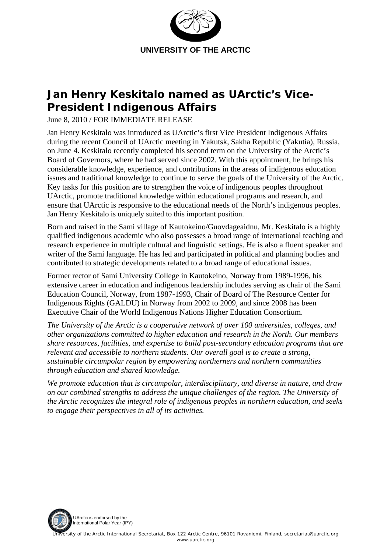

## **Jan Henry Keskitalo named as UArctic's Vice-President Indigenous Affairs**

June 8, 2010 / FOR IMMEDIATE RELEASE

Jan Henry Keskitalo was introduced as UArctic's first Vice President Indigenous Affairs during the recent Council of UArctic meeting in Yakutsk, Sakha Republic (Yakutia), Russia, on June 4. Keskitalo recently completed his second term on the University of the Arctic's Board of Governors, where he had served since 2002. With this appointment, he brings his considerable knowledge, experience, and contributions in the areas of indigenous education issues and traditional knowledge to continue to serve the goals of the University of the Arctic. Key tasks for this position are to strengthen the voice of indigenous peoples throughout UArctic, promote traditional knowledge within educational programs and research, and ensure that UArctic is responsive to the educational needs of the North's indigenous peoples. Jan Henry Keskitalo is uniquely suited to this important position.

Born and raised in the Sami village of Kautokeino/Guovdageaidnu, Mr. Keskitalo is a highly qualified indigenous academic who also possesses a broad range of international teaching and research experience in multiple cultural and linguistic settings. He is also a fluent speaker and writer of the Sami language. He has led and participated in political and planning bodies and contributed to strategic developments related to a broad range of educational issues.

Former rector of Sami University College in Kautokeino, Norway from 1989-1996, his extensive career in education and indigenous leadership includes serving as chair of the Sami Education Council, Norway, from 1987-1993, Chair of Board of The Resource Center for Indigenous Rights (GALDU) in Norway from 2002 to 2009, and since 2008 has been Executive Chair of the World Indigenous Nations Higher Education Consortium.

*The University of the Arctic is a cooperative network of over 100 universities, colleges, and other organizations committed to higher education and research in the North. Our members share resources, facilities, and expertise to build post-secondary education programs that are relevant and accessible to northern students. Our overall goal is to create a strong, sustainable circumpolar region by empowering northerners and northern communities through education and shared knowledge.* 

*We promote education that is circumpolar, interdisciplinary, and diverse in nature, and draw on our combined strengths to address the unique challenges of the region. The University of the Arctic recognizes the integral role of indigenous peoples in northern education, and seeks to engage their perspectives in all of its activities.*